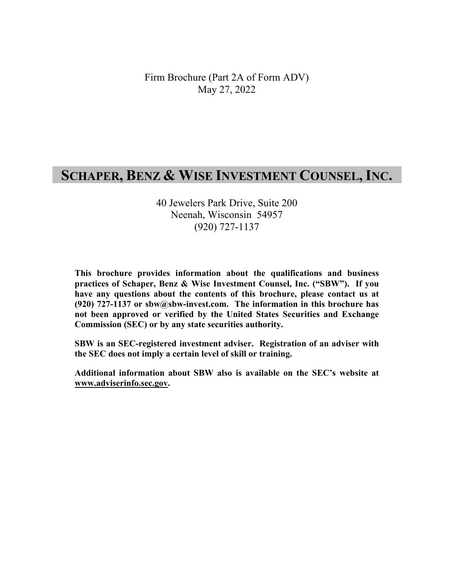Firm Brochure (Part 2A of Form ADV) May 27, 2022

# **SCHAPER, BENZ & WISE INVESTMENT COUNSEL, INC.**

40 Jewelers Park Drive, Suite 200 Neenah, Wisconsin 54957 (920) 727-1137

**This brochure provides information about the qualifications and business practices of Schaper, Benz & Wise Investment Counsel, Inc. ("SBW"). If you have any questions about the contents of this brochure, please contact us at (920) 727-1137 or sbw@sbw-invest.com. The information in this brochure has not been approved or verified by the United States Securities and Exchange Commission (SEC) or by any state securities authority.** 

**SBW is an SEC-registered investment adviser. Registration of an adviser with the SEC does not imply a certain level of skill or training.** 

**Additional information about SBW also is available on the SEC's website at www.adviserinfo.sec.gov.**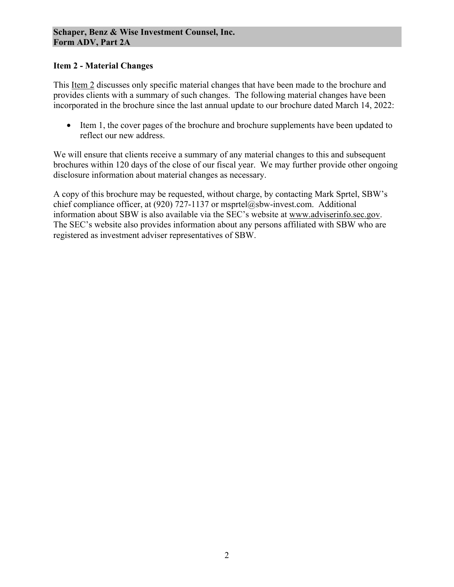### **Item 2 - Material Changes**

This Item 2 discusses only specific material changes that have been made to the brochure and provides clients with a summary of such changes. The following material changes have been incorporated in the brochure since the last annual update to our brochure dated March 14, 2022:

• Item 1, the cover pages of the brochure and brochure supplements have been updated to reflect our new address.

We will ensure that clients receive a summary of any material changes to this and subsequent brochures within 120 days of the close of our fiscal year. We may further provide other ongoing disclosure information about material changes as necessary.

A copy of this brochure may be requested, without charge, by contacting Mark Sprtel, SBW's chief compliance officer, at (920) 727-1137 or msprtel@sbw-invest.com. Additional information about SBW is also available via the SEC's website at www.adviserinfo.sec.gov. The SEC's website also provides information about any persons affiliated with SBW who are registered as investment adviser representatives of SBW.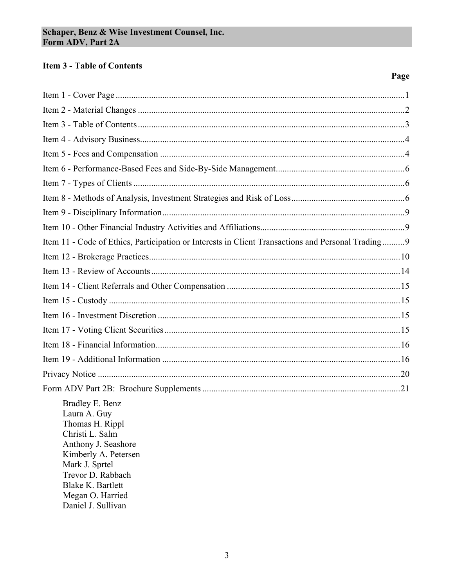# **Item 3 - Table of Contents**

# Page

| Item 11 - Code of Ethics, Participation or Interests in Client Transactions and Personal Trading 9                                                                                                                                |
|-----------------------------------------------------------------------------------------------------------------------------------------------------------------------------------------------------------------------------------|
|                                                                                                                                                                                                                                   |
|                                                                                                                                                                                                                                   |
|                                                                                                                                                                                                                                   |
|                                                                                                                                                                                                                                   |
|                                                                                                                                                                                                                                   |
|                                                                                                                                                                                                                                   |
|                                                                                                                                                                                                                                   |
|                                                                                                                                                                                                                                   |
|                                                                                                                                                                                                                                   |
|                                                                                                                                                                                                                                   |
| Bradley E. Benz<br>Laura A. Guy<br>Thomas H. Rippl<br>Christi L. Salm<br>Anthony J. Seashore<br>Kimberly A. Petersen<br>Mark J. Sprtel<br>Trevor D. Rabbach<br><b>Blake K. Bartlett</b><br>Megan O. Harried<br>Daniel J. Sullivan |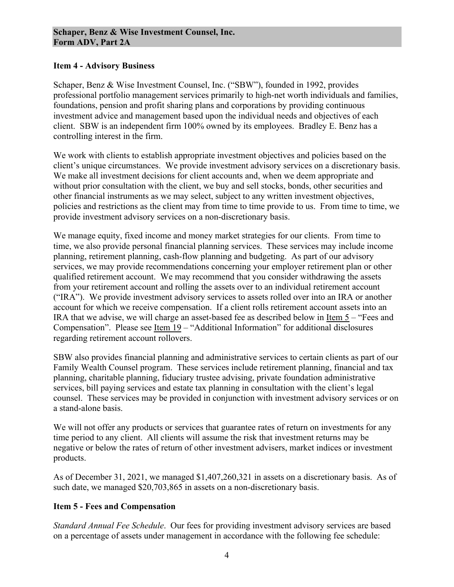#### **Item 4 - Advisory Business**

Schaper, Benz & Wise Investment Counsel, Inc. ("SBW"), founded in 1992, provides professional portfolio management services primarily to high-net worth individuals and families, foundations, pension and profit sharing plans and corporations by providing continuous investment advice and management based upon the individual needs and objectives of each client. SBW is an independent firm 100% owned by its employees. Bradley E. Benz has a controlling interest in the firm.

We work with clients to establish appropriate investment objectives and policies based on the client's unique circumstances. We provide investment advisory services on a discretionary basis. We make all investment decisions for client accounts and, when we deem appropriate and without prior consultation with the client, we buy and sell stocks, bonds, other securities and other financial instruments as we may select, subject to any written investment objectives, policies and restrictions as the client may from time to time provide to us. From time to time, we provide investment advisory services on a non-discretionary basis.

We manage equity, fixed income and money market strategies for our clients. From time to time, we also provide personal financial planning services. These services may include income planning, retirement planning, cash-flow planning and budgeting. As part of our advisory services, we may provide recommendations concerning your employer retirement plan or other qualified retirement account. We may recommend that you consider withdrawing the assets from your retirement account and rolling the assets over to an individual retirement account ("IRA"). We provide investment advisory services to assets rolled over into an IRA or another account for which we receive compensation. If a client rolls retirement account assets into an IRA that we advise, we will charge an asset-based fee as described below in <u>Item 5</u> – "Fees and Compensation". Please see <u>Item  $19$ </u> – "Additional Information" for additional disclosures regarding retirement account rollovers.

SBW also provides financial planning and administrative services to certain clients as part of our Family Wealth Counsel program. These services include retirement planning, financial and tax planning, charitable planning, fiduciary trustee advising, private foundation administrative services, bill paying services and estate tax planning in consultation with the client's legal counsel. These services may be provided in conjunction with investment advisory services or on a stand-alone basis.

We will not offer any products or services that guarantee rates of return on investments for any time period to any client. All clients will assume the risk that investment returns may be negative or below the rates of return of other investment advisers, market indices or investment products.

As of December 31, 2021, we managed \$1,407,260,321 in assets on a discretionary basis. As of such date, we managed \$20,703,865 in assets on a non-discretionary basis.

### **Item 5 - Fees and Compensation**

*Standard Annual Fee Schedule*. Our fees for providing investment advisory services are based on a percentage of assets under management in accordance with the following fee schedule: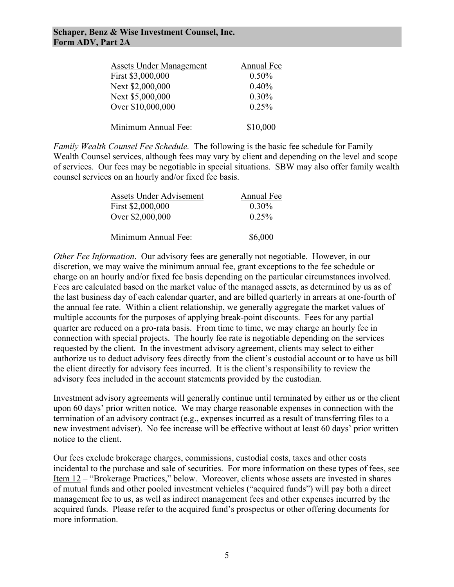#### **Schaper, Benz & Wise Investment Counsel, Inc. Form ADV, Part 2A**

| <b>Assets Under Management</b> | Annual Fee |
|--------------------------------|------------|
| First \$3,000,000              | $0.50\%$   |
| Next \$2,000,000               | 0.40%      |
| Next \$5,000,000               | 0.30%      |
| Over \$10,000,000              | 0.25%      |
| Minimum Annual Fee:            | \$10,000   |

*Family Wealth Counsel Fee Schedule.* The following is the basic fee schedule for Family Wealth Counsel services, although fees may vary by client and depending on the level and scope of services. Our fees may be negotiable in special situations. SBW may also offer family wealth counsel services on an hourly and/or fixed fee basis.

| Assets Under Advisement | Annual Fee |
|-------------------------|------------|
| First \$2,000,000       | $0.30\%$   |
| Over \$2,000,000        | 0.25%      |
|                         |            |
| Minimum Annual Fee:     | \$6,000    |

*Other Fee Information*. Our advisory fees are generally not negotiable. However, in our discretion, we may waive the minimum annual fee, grant exceptions to the fee schedule or charge on an hourly and/or fixed fee basis depending on the particular circumstances involved. Fees are calculated based on the market value of the managed assets, as determined by us as of the last business day of each calendar quarter, and are billed quarterly in arrears at one-fourth of the annual fee rate. Within a client relationship, we generally aggregate the market values of multiple accounts for the purposes of applying break-point discounts. Fees for any partial quarter are reduced on a pro-rata basis. From time to time, we may charge an hourly fee in connection with special projects. The hourly fee rate is negotiable depending on the services requested by the client. In the investment advisory agreement, clients may select to either authorize us to deduct advisory fees directly from the client's custodial account or to have us bill the client directly for advisory fees incurred. It is the client's responsibility to review the advisory fees included in the account statements provided by the custodian.

Investment advisory agreements will generally continue until terminated by either us or the client upon 60 days' prior written notice. We may charge reasonable expenses in connection with the termination of an advisory contract (e.g., expenses incurred as a result of transferring files to a new investment adviser). No fee increase will be effective without at least 60 days' prior written notice to the client.

Our fees exclude brokerage charges, commissions, custodial costs, taxes and other costs incidental to the purchase and sale of securities. For more information on these types of fees, see Item 12 – "Brokerage Practices," below. Moreover, clients whose assets are invested in shares of mutual funds and other pooled investment vehicles ("acquired funds") will pay both a direct management fee to us, as well as indirect management fees and other expenses incurred by the acquired funds. Please refer to the acquired fund's prospectus or other offering documents for more information.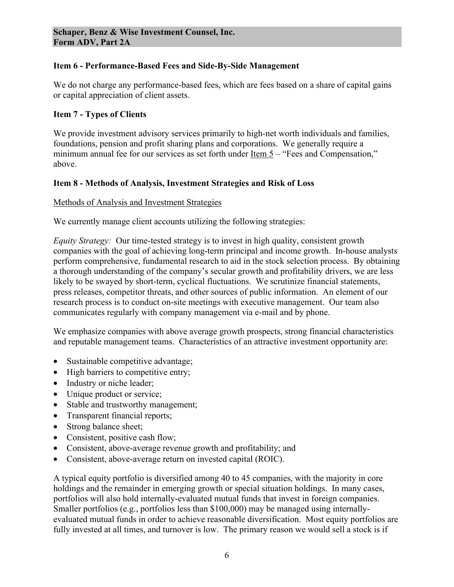### **Item 6 - Performance-Based Fees and Side-By-Side Management**

We do not charge any performance-based fees, which are fees based on a share of capital gains or capital appreciation of client assets.

# **Item 7 - Types of Clients**

We provide investment advisory services primarily to high-net worth individuals and families, foundations, pension and profit sharing plans and corporations. We generally require a minimum annual fee for our services as set forth under Item 5 – "Fees and Compensation," above.

# **Item 8 - Methods of Analysis, Investment Strategies and Risk of Loss**

#### Methods of Analysis and Investment Strategies

We currently manage client accounts utilizing the following strategies:

*Equity Strategy:* Our time-tested strategy is to invest in high quality, consistent growth companies with the goal of achieving long-term principal and income growth. In-house analysts perform comprehensive, fundamental research to aid in the stock selection process. By obtaining a thorough understanding of the company's secular growth and profitability drivers, we are less likely to be swayed by short-term, cyclical fluctuations. We scrutinize financial statements, press releases, competitor threats, and other sources of public information. An element of our research process is to conduct on-site meetings with executive management. Our team also communicates regularly with company management via e-mail and by phone.

We emphasize companies with above average growth prospects, strong financial characteristics and reputable management teams. Characteristics of an attractive investment opportunity are:

- Sustainable competitive advantage;
- High barriers to competitive entry;
- Industry or niche leader;
- Unique product or service;
- Stable and trustworthy management;
- Transparent financial reports;
- Strong balance sheet;
- Consistent, positive cash flow;
- Consistent, above-average revenue growth and profitability; and
- Consistent, above-average return on invested capital (ROIC).

A typical equity portfolio is diversified among 40 to 45 companies, with the majority in core holdings and the remainder in emerging growth or special situation holdings. In many cases, portfolios will also hold internally-evaluated mutual funds that invest in foreign companies. Smaller portfolios (e.g., portfolios less than \$100,000) may be managed using internallyevaluated mutual funds in order to achieve reasonable diversification. Most equity portfolios are fully invested at all times, and turnover is low. The primary reason we would sell a stock is if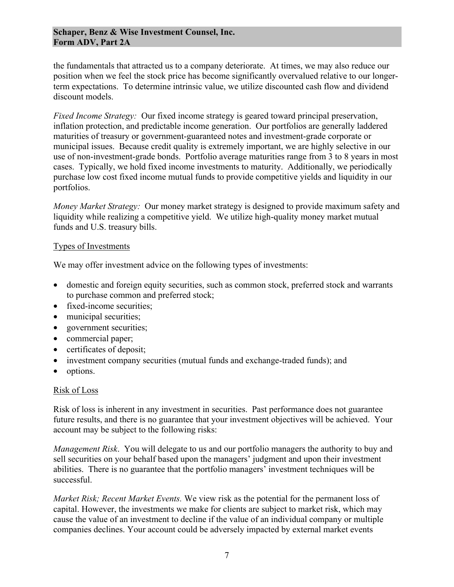#### **Schaper, Benz & Wise Investment Counsel, Inc. Form ADV, Part 2A**

the fundamentals that attracted us to a company deteriorate. At times, we may also reduce our position when we feel the stock price has become significantly overvalued relative to our longerterm expectations. To determine intrinsic value, we utilize discounted cash flow and dividend discount models.

*Fixed Income Strategy:* Our fixed income strategy is geared toward principal preservation, inflation protection, and predictable income generation. Our portfolios are generally laddered maturities of treasury or government-guaranteed notes and investment-grade corporate or municipal issues. Because credit quality is extremely important, we are highly selective in our use of non-investment-grade bonds. Portfolio average maturities range from 3 to 8 years in most cases. Typically, we hold fixed income investments to maturity. Additionally, we periodically purchase low cost fixed income mutual funds to provide competitive yields and liquidity in our portfolios.

*Money Market Strategy:* Our money market strategy is designed to provide maximum safety and liquidity while realizing a competitive yield. We utilize high-quality money market mutual funds and U.S. treasury bills.

#### Types of Investments

We may offer investment advice on the following types of investments:

- domestic and foreign equity securities, such as common stock, preferred stock and warrants to purchase common and preferred stock;
- fixed-income securities;
- municipal securities;
- government securities;
- commercial paper;
- certificates of deposit;
- investment company securities (mutual funds and exchange-traded funds); and
- options.

#### Risk of Loss

Risk of loss is inherent in any investment in securities. Past performance does not guarantee future results, and there is no guarantee that your investment objectives will be achieved. Your account may be subject to the following risks:

*Management Risk*. You will delegate to us and our portfolio managers the authority to buy and sell securities on your behalf based upon the managers' judgment and upon their investment abilities. There is no guarantee that the portfolio managers' investment techniques will be successful.

*Market Risk; Recent Market Events.* We view risk as the potential for the permanent loss of capital. However, the investments we make for clients are subject to market risk, which may cause the value of an investment to decline if the value of an individual company or multiple companies declines. Your account could be adversely impacted by external market events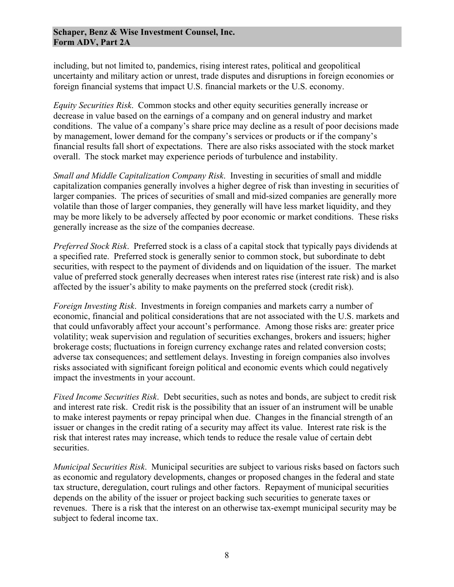including, but not limited to, pandemics, rising interest rates, political and geopolitical uncertainty and military action or unrest, trade disputes and disruptions in foreign economies or foreign financial systems that impact U.S. financial markets or the U.S. economy.

*Equity Securities Risk*. Common stocks and other equity securities generally increase or decrease in value based on the earnings of a company and on general industry and market conditions. The value of a company's share price may decline as a result of poor decisions made by management, lower demand for the company's services or products or if the company's financial results fall short of expectations. There are also risks associated with the stock market overall. The stock market may experience periods of turbulence and instability.

*Small and Middle Capitalization Company Risk*. Investing in securities of small and middle capitalization companies generally involves a higher degree of risk than investing in securities of larger companies. The prices of securities of small and mid-sized companies are generally more volatile than those of larger companies, they generally will have less market liquidity, and they may be more likely to be adversely affected by poor economic or market conditions. These risks generally increase as the size of the companies decrease.

*Preferred Stock Risk*. Preferred stock is a class of a capital stock that typically pays dividends at a specified rate. Preferred stock is generally senior to common stock, but subordinate to debt securities, with respect to the payment of dividends and on liquidation of the issuer. The market value of preferred stock generally decreases when interest rates rise (interest rate risk) and is also affected by the issuer's ability to make payments on the preferred stock (credit risk).

*Foreign Investing Risk*. Investments in foreign companies and markets carry a number of economic, financial and political considerations that are not associated with the U.S. markets and that could unfavorably affect your account's performance. Among those risks are: greater price volatility; weak supervision and regulation of securities exchanges, brokers and issuers; higher brokerage costs; fluctuations in foreign currency exchange rates and related conversion costs; adverse tax consequences; and settlement delays. Investing in foreign companies also involves risks associated with significant foreign political and economic events which could negatively impact the investments in your account.

*Fixed Income Securities Risk*. Debt securities, such as notes and bonds, are subject to credit risk and interest rate risk. Credit risk is the possibility that an issuer of an instrument will be unable to make interest payments or repay principal when due. Changes in the financial strength of an issuer or changes in the credit rating of a security may affect its value. Interest rate risk is the risk that interest rates may increase, which tends to reduce the resale value of certain debt securities.

*Municipal Securities Risk*. Municipal securities are subject to various risks based on factors such as economic and regulatory developments, changes or proposed changes in the federal and state tax structure, deregulation, court rulings and other factors. Repayment of municipal securities depends on the ability of the issuer or project backing such securities to generate taxes or revenues. There is a risk that the interest on an otherwise tax-exempt municipal security may be subject to federal income tax.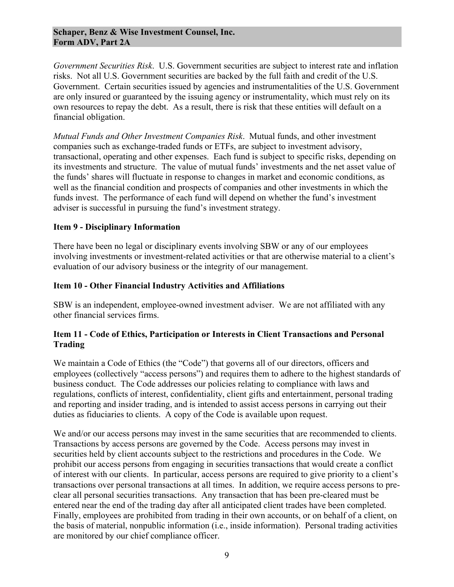#### **Schaper, Benz & Wise Investment Counsel, Inc. Form ADV, Part 2A**

*Government Securities Risk*. U.S. Government securities are subject to interest rate and inflation risks. Not all U.S. Government securities are backed by the full faith and credit of the U.S. Government. Certain securities issued by agencies and instrumentalities of the U.S. Government are only insured or guaranteed by the issuing agency or instrumentality, which must rely on its own resources to repay the debt. As a result, there is risk that these entities will default on a financial obligation.

*Mutual Funds and Other Investment Companies Risk*. Mutual funds, and other investment companies such as exchange-traded funds or ETFs, are subject to investment advisory, transactional, operating and other expenses. Each fund is subject to specific risks, depending on its investments and structure. The value of mutual funds' investments and the net asset value of the funds' shares will fluctuate in response to changes in market and economic conditions, as well as the financial condition and prospects of companies and other investments in which the funds invest. The performance of each fund will depend on whether the fund's investment adviser is successful in pursuing the fund's investment strategy.

#### **Item 9 - Disciplinary Information**

There have been no legal or disciplinary events involving SBW or any of our employees involving investments or investment-related activities or that are otherwise material to a client's evaluation of our advisory business or the integrity of our management.

#### **Item 10 - Other Financial Industry Activities and Affiliations**

SBW is an independent, employee-owned investment adviser. We are not affiliated with any other financial services firms.

### **Item 11 - Code of Ethics, Participation or Interests in Client Transactions and Personal Trading**

We maintain a Code of Ethics (the "Code") that governs all of our directors, officers and employees (collectively "access persons") and requires them to adhere to the highest standards of business conduct. The Code addresses our policies relating to compliance with laws and regulations, conflicts of interest, confidentiality, client gifts and entertainment, personal trading and reporting and insider trading, and is intended to assist access persons in carrying out their duties as fiduciaries to clients. A copy of the Code is available upon request.

We and/or our access persons may invest in the same securities that are recommended to clients. Transactions by access persons are governed by the Code. Access persons may invest in securities held by client accounts subject to the restrictions and procedures in the Code. We prohibit our access persons from engaging in securities transactions that would create a conflict of interest with our clients. In particular, access persons are required to give priority to a client's transactions over personal transactions at all times. In addition, we require access persons to preclear all personal securities transactions. Any transaction that has been pre-cleared must be entered near the end of the trading day after all anticipated client trades have been completed. Finally, employees are prohibited from trading in their own accounts, or on behalf of a client, on the basis of material, nonpublic information (i.e., inside information). Personal trading activities are monitored by our chief compliance officer.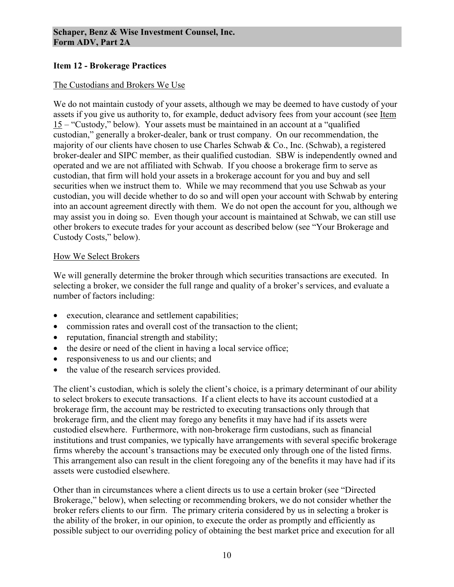### **Item 12 - Brokerage Practices**

### The Custodians and Brokers We Use

We do not maintain custody of your assets, although we may be deemed to have custody of your assets if you give us authority to, for example, deduct advisory fees from your account (see Item  $15$  – "Custody," below). Your assets must be maintained in an account at a "qualified custodian," generally a broker-dealer, bank or trust company. On our recommendation, the majority of our clients have chosen to use Charles Schwab & Co., Inc. (Schwab), a registered broker-dealer and SIPC member, as their qualified custodian. SBW is independently owned and operated and we are not affiliated with Schwab. If you choose a brokerage firm to serve as custodian, that firm will hold your assets in a brokerage account for you and buy and sell securities when we instruct them to. While we may recommend that you use Schwab as your custodian, you will decide whether to do so and will open your account with Schwab by entering into an account agreement directly with them. We do not open the account for you, although we may assist you in doing so. Even though your account is maintained at Schwab, we can still use other brokers to execute trades for your account as described below (see "Your Brokerage and Custody Costs," below).

### How We Select Brokers

We will generally determine the broker through which securities transactions are executed. In selecting a broker, we consider the full range and quality of a broker's services, and evaluate a number of factors including:

- execution, clearance and settlement capabilities;
- commission rates and overall cost of the transaction to the client;
- reputation, financial strength and stability;
- the desire or need of the client in having a local service office;
- responsiveness to us and our clients; and
- the value of the research services provided.

The client's custodian, which is solely the client's choice, is a primary determinant of our ability to select brokers to execute transactions. If a client elects to have its account custodied at a brokerage firm, the account may be restricted to executing transactions only through that brokerage firm, and the client may forego any benefits it may have had if its assets were custodied elsewhere. Furthermore, with non-brokerage firm custodians, such as financial institutions and trust companies, we typically have arrangements with several specific brokerage firms whereby the account's transactions may be executed only through one of the listed firms. This arrangement also can result in the client foregoing any of the benefits it may have had if its assets were custodied elsewhere.

Other than in circumstances where a client directs us to use a certain broker (see "Directed Brokerage," below), when selecting or recommending brokers, we do not consider whether the broker refers clients to our firm. The primary criteria considered by us in selecting a broker is the ability of the broker, in our opinion, to execute the order as promptly and efficiently as possible subject to our overriding policy of obtaining the best market price and execution for all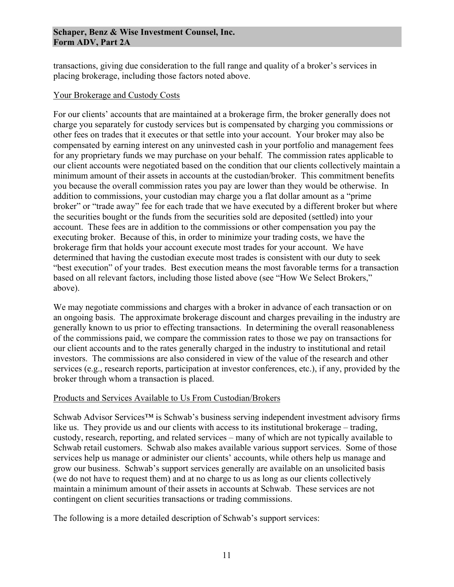#### **Schaper, Benz & Wise Investment Counsel, Inc. Form ADV, Part 2A**

transactions, giving due consideration to the full range and quality of a broker's services in placing brokerage, including those factors noted above.

#### Your Brokerage and Custody Costs

For our clients' accounts that are maintained at a brokerage firm, the broker generally does not charge you separately for custody services but is compensated by charging you commissions or other fees on trades that it executes or that settle into your account. Your broker may also be compensated by earning interest on any uninvested cash in your portfolio and management fees for any proprietary funds we may purchase on your behalf. The commission rates applicable to our client accounts were negotiated based on the condition that our clients collectively maintain a minimum amount of their assets in accounts at the custodian/broker. This commitment benefits you because the overall commission rates you pay are lower than they would be otherwise. In addition to commissions, your custodian may charge you a flat dollar amount as a "prime broker" or "trade away" fee for each trade that we have executed by a different broker but where the securities bought or the funds from the securities sold are deposited (settled) into your account. These fees are in addition to the commissions or other compensation you pay the executing broker. Because of this, in order to minimize your trading costs, we have the brokerage firm that holds your account execute most trades for your account. We have determined that having the custodian execute most trades is consistent with our duty to seek "best execution" of your trades. Best execution means the most favorable terms for a transaction based on all relevant factors, including those listed above (see "How We Select Brokers," above).

We may negotiate commissions and charges with a broker in advance of each transaction or on an ongoing basis. The approximate brokerage discount and charges prevailing in the industry are generally known to us prior to effecting transactions. In determining the overall reasonableness of the commissions paid, we compare the commission rates to those we pay on transactions for our client accounts and to the rates generally charged in the industry to institutional and retail investors. The commissions are also considered in view of the value of the research and other services (e.g., research reports, participation at investor conferences, etc.), if any, provided by the broker through whom a transaction is placed.

### Products and Services Available to Us From Custodian/Brokers

Schwab Advisor Services™ is Schwab's business serving independent investment advisory firms like us. They provide us and our clients with access to its institutional brokerage – trading, custody, research, reporting, and related services – many of which are not typically available to Schwab retail customers. Schwab also makes available various support services. Some of those services help us manage or administer our clients' accounts, while others help us manage and grow our business. Schwab's support services generally are available on an unsolicited basis (we do not have to request them) and at no charge to us as long as our clients collectively maintain a minimum amount of their assets in accounts at Schwab. These services are not contingent on client securities transactions or trading commissions.

The following is a more detailed description of Schwab's support services: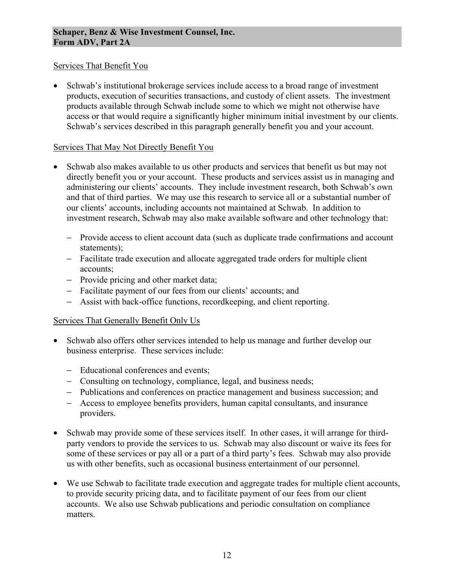### Services That Benefit You

• Schwab's institutional brokerage services include access to a broad range of investment products, execution of securities transactions, and custody of client assets. The investment products available through Schwab include some to which we might not otherwise have access or that would require a significantly higher minimum initial investment by our clients. Schwab's services described in this paragraph generally benefit you and your account.

#### Services That May Not Directly Benefit You

- Schwab also makes available to us other products and services that benefit us but may not directly benefit you or your account. These products and services assist us in managing and administering our clients' accounts. They include investment research, both Schwab's own and that of third parties. We may use this research to service all or a substantial number of our clients' accounts, including accounts not maintained at Schwab. In addition to investment research, Schwab may also make available software and other technology that:
	- − Provide access to client account data (such as duplicate trade confirmations and account statements);
	- − Facilitate trade execution and allocate aggregated trade orders for multiple client accounts;
	- − Provide pricing and other market data;
	- − Facilitate payment of our fees from our clients' accounts; and
	- − Assist with back-office functions, recordkeeping, and client reporting.

### Services That Generally Benefit Only Us

- Schwab also offers other services intended to help us manage and further develop our business enterprise. These services include:
	- − Educational conferences and events;
	- − Consulting on technology, compliance, legal, and business needs;
	- − Publications and conferences on practice management and business succession; and
	- − Access to employee benefits providers, human capital consultants, and insurance providers.
- Schwab may provide some of these services itself. In other cases, it will arrange for thirdparty vendors to provide the services to us. Schwab may also discount or waive its fees for some of these services or pay all or a part of a third party's fees. Schwab may also provide us with other benefits, such as occasional business entertainment of our personnel.
- We use Schwab to facilitate trade execution and aggregate trades for multiple client accounts, to provide security pricing data, and to facilitate payment of our fees from our client accounts. We also use Schwab publications and periodic consultation on compliance matters.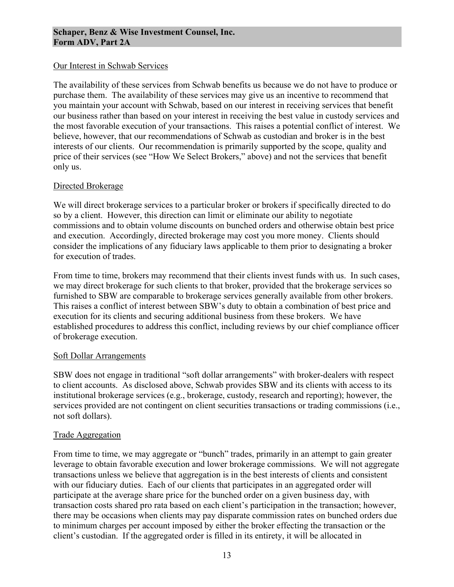#### Our Interest in Schwab Services

The availability of these services from Schwab benefits us because we do not have to produce or purchase them. The availability of these services may give us an incentive to recommend that you maintain your account with Schwab, based on our interest in receiving services that benefit our business rather than based on your interest in receiving the best value in custody services and the most favorable execution of your transactions. This raises a potential conflict of interest. We believe, however, that our recommendations of Schwab as custodian and broker is in the best interests of our clients. Our recommendation is primarily supported by the scope, quality and price of their services (see "How We Select Brokers," above) and not the services that benefit only us.

#### Directed Brokerage

We will direct brokerage services to a particular broker or brokers if specifically directed to do so by a client. However, this direction can limit or eliminate our ability to negotiate commissions and to obtain volume discounts on bunched orders and otherwise obtain best price and execution. Accordingly, directed brokerage may cost you more money. Clients should consider the implications of any fiduciary laws applicable to them prior to designating a broker for execution of trades.

From time to time, brokers may recommend that their clients invest funds with us. In such cases, we may direct brokerage for such clients to that broker, provided that the brokerage services so furnished to SBW are comparable to brokerage services generally available from other brokers. This raises a conflict of interest between SBW's duty to obtain a combination of best price and execution for its clients and securing additional business from these brokers. We have established procedures to address this conflict, including reviews by our chief compliance officer of brokerage execution.

#### Soft Dollar Arrangements

SBW does not engage in traditional "soft dollar arrangements" with broker-dealers with respect to client accounts. As disclosed above, Schwab provides SBW and its clients with access to its institutional brokerage services (e.g., brokerage, custody, research and reporting); however, the services provided are not contingent on client securities transactions or trading commissions (i.e., not soft dollars).

### Trade Aggregation

From time to time, we may aggregate or "bunch" trades, primarily in an attempt to gain greater leverage to obtain favorable execution and lower brokerage commissions. We will not aggregate transactions unless we believe that aggregation is in the best interests of clients and consistent with our fiduciary duties. Each of our clients that participates in an aggregated order will participate at the average share price for the bunched order on a given business day, with transaction costs shared pro rata based on each client's participation in the transaction; however, there may be occasions when clients may pay disparate commission rates on bunched orders due to minimum charges per account imposed by either the broker effecting the transaction or the client's custodian. If the aggregated order is filled in its entirety, it will be allocated in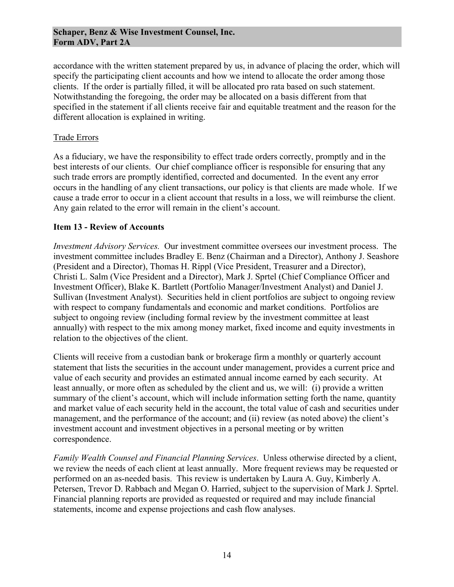#### **Schaper, Benz & Wise Investment Counsel, Inc. Form ADV, Part 2A**

accordance with the written statement prepared by us, in advance of placing the order, which will specify the participating client accounts and how we intend to allocate the order among those clients. If the order is partially filled, it will be allocated pro rata based on such statement. Notwithstanding the foregoing, the order may be allocated on a basis different from that specified in the statement if all clients receive fair and equitable treatment and the reason for the different allocation is explained in writing.

#### Trade Errors

As a fiduciary, we have the responsibility to effect trade orders correctly, promptly and in the best interests of our clients. Our chief compliance officer is responsible for ensuring that any such trade errors are promptly identified, corrected and documented. In the event any error occurs in the handling of any client transactions, our policy is that clients are made whole. If we cause a trade error to occur in a client account that results in a loss, we will reimburse the client. Any gain related to the error will remain in the client's account.

#### **Item 13 - Review of Accounts**

*Investment Advisory Services.* Our investment committee oversees our investment process. The investment committee includes Bradley E. Benz (Chairman and a Director), Anthony J. Seashore (President and a Director), Thomas H. Rippl (Vice President, Treasurer and a Director), Christi L. Salm (Vice President and a Director), Mark J. Sprtel (Chief Compliance Officer and Investment Officer), Blake K. Bartlett (Portfolio Manager/Investment Analyst) and Daniel J. Sullivan (Investment Analyst). Securities held in client portfolios are subject to ongoing review with respect to company fundamentals and economic and market conditions. Portfolios are subject to ongoing review (including formal review by the investment committee at least annually) with respect to the mix among money market, fixed income and equity investments in relation to the objectives of the client.

Clients will receive from a custodian bank or brokerage firm a monthly or quarterly account statement that lists the securities in the account under management, provides a current price and value of each security and provides an estimated annual income earned by each security. At least annually, or more often as scheduled by the client and us, we will: (i) provide a written summary of the client's account, which will include information setting forth the name, quantity and market value of each security held in the account, the total value of cash and securities under management, and the performance of the account; and (ii) review (as noted above) the client's investment account and investment objectives in a personal meeting or by written correspondence.

*Family Wealth Counsel and Financial Planning Services*. Unless otherwise directed by a client, we review the needs of each client at least annually. More frequent reviews may be requested or performed on an as-needed basis. This review is undertaken by Laura A. Guy, Kimberly A. Petersen, Trevor D. Rabbach and Megan O. Harried, subject to the supervision of Mark J. Sprtel. Financial planning reports are provided as requested or required and may include financial statements, income and expense projections and cash flow analyses.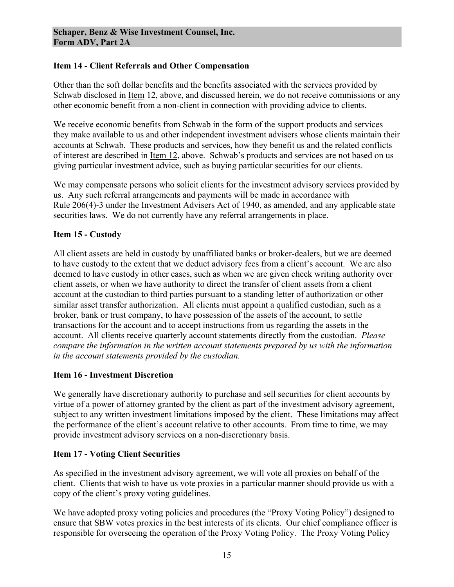### **Item 14 - Client Referrals and Other Compensation**

Other than the soft dollar benefits and the benefits associated with the services provided by Schwab disclosed in Item 12, above, and discussed herein, we do not receive commissions or any other economic benefit from a non-client in connection with providing advice to clients.

We receive economic benefits from Schwab in the form of the support products and services they make available to us and other independent investment advisers whose clients maintain their accounts at Schwab. These products and services, how they benefit us and the related conflicts of interest are described in Item 12, above. Schwab's products and services are not based on us giving particular investment advice, such as buying particular securities for our clients.

We may compensate persons who solicit clients for the investment advisory services provided by us. Any such referral arrangements and payments will be made in accordance with Rule 206(4)-3 under the Investment Advisers Act of 1940, as amended, and any applicable state securities laws. We do not currently have any referral arrangements in place.

# **Item 15 - Custody**

All client assets are held in custody by unaffiliated banks or broker-dealers, but we are deemed to have custody to the extent that we deduct advisory fees from a client's account. We are also deemed to have custody in other cases, such as when we are given check writing authority over client assets, or when we have authority to direct the transfer of client assets from a client account at the custodian to third parties pursuant to a standing letter of authorization or other similar asset transfer authorization. All clients must appoint a qualified custodian, such as a broker, bank or trust company, to have possession of the assets of the account, to settle transactions for the account and to accept instructions from us regarding the assets in the account. All clients receive quarterly account statements directly from the custodian. *Please compare the information in the written account statements prepared by us with the information in the account statements provided by the custodian.* 

### **Item 16 - Investment Discretion**

We generally have discretionary authority to purchase and sell securities for client accounts by virtue of a power of attorney granted by the client as part of the investment advisory agreement, subject to any written investment limitations imposed by the client. These limitations may affect the performance of the client's account relative to other accounts. From time to time, we may provide investment advisory services on a non-discretionary basis.

### **Item 17 - Voting Client Securities**

As specified in the investment advisory agreement, we will vote all proxies on behalf of the client. Clients that wish to have us vote proxies in a particular manner should provide us with a copy of the client's proxy voting guidelines.

We have adopted proxy voting policies and procedures (the "Proxy Voting Policy") designed to ensure that SBW votes proxies in the best interests of its clients. Our chief compliance officer is responsible for overseeing the operation of the Proxy Voting Policy. The Proxy Voting Policy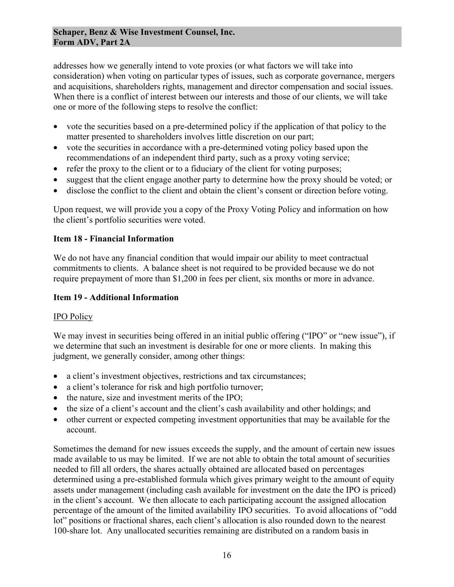addresses how we generally intend to vote proxies (or what factors we will take into consideration) when voting on particular types of issues, such as corporate governance, mergers and acquisitions, shareholders rights, management and director compensation and social issues. When there is a conflict of interest between our interests and those of our clients, we will take one or more of the following steps to resolve the conflict:

- vote the securities based on a pre-determined policy if the application of that policy to the matter presented to shareholders involves little discretion on our part;
- vote the securities in accordance with a pre-determined voting policy based upon the recommendations of an independent third party, such as a proxy voting service;
- refer the proxy to the client or to a fiduciary of the client for voting purposes;
- suggest that the client engage another party to determine how the proxy should be voted; or
- disclose the conflict to the client and obtain the client's consent or direction before voting.

Upon request, we will provide you a copy of the Proxy Voting Policy and information on how the client's portfolio securities were voted.

# **Item 18 - Financial Information**

We do not have any financial condition that would impair our ability to meet contractual commitments to clients. A balance sheet is not required to be provided because we do not require prepayment of more than \$1,200 in fees per client, six months or more in advance.

### **Item 19 - Additional Information**

### IPO Policy

We may invest in securities being offered in an initial public offering ("IPO" or "new issue"), if we determine that such an investment is desirable for one or more clients. In making this judgment, we generally consider, among other things:

- a client's investment objectives, restrictions and tax circumstances;
- a client's tolerance for risk and high portfolio turnover;
- the nature, size and investment merits of the IPO;
- the size of a client's account and the client's cash availability and other holdings; and
- other current or expected competing investment opportunities that may be available for the account.

Sometimes the demand for new issues exceeds the supply, and the amount of certain new issues made available to us may be limited. If we are not able to obtain the total amount of securities needed to fill all orders, the shares actually obtained are allocated based on percentages determined using a pre-established formula which gives primary weight to the amount of equity assets under management (including cash available for investment on the date the IPO is priced) in the client's account. We then allocate to each participating account the assigned allocation percentage of the amount of the limited availability IPO securities. To avoid allocations of "odd lot" positions or fractional shares, each client's allocation is also rounded down to the nearest 100-share lot. Any unallocated securities remaining are distributed on a random basis in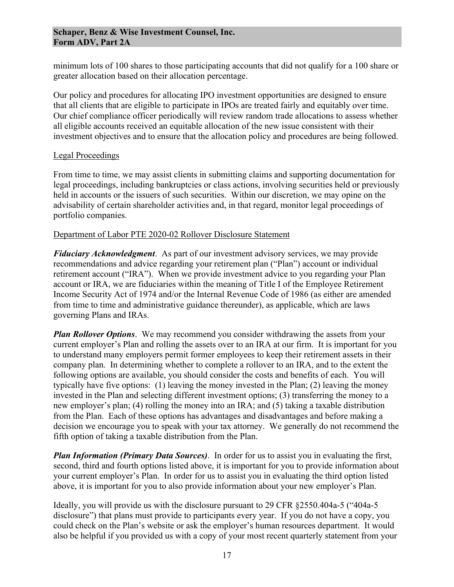minimum lots of 100 shares to those participating accounts that did not qualify for a 100 share or greater allocation based on their allocation percentage.

Our policy and procedures for allocating IPO investment opportunities are designed to ensure that all clients that are eligible to participate in IPOs are treated fairly and equitably over time. Our chief compliance officer periodically will review random trade allocations to assess whether all eligible accounts received an equitable allocation of the new issue consistent with their investment objectives and to ensure that the allocation policy and procedures are being followed.

### Legal Proceedings

From time to time, we may assist clients in submitting claims and supporting documentation for legal proceedings, including bankruptcies or class actions, involving securities held or previously held in accounts or the issuers of such securities. Within our discretion, we may opine on the advisability of certain shareholder activities and, in that regard, monitor legal proceedings of portfolio companies.

### Department of Labor PTE 2020-02 Rollover Disclosure Statement

*Fiduciary Acknowledgment*. As part of our investment advisory services, we may provide recommendations and advice regarding your retirement plan ("Plan") account or individual retirement account ("IRA"). When we provide investment advice to you regarding your Plan account or IRA, we are fiduciaries within the meaning of Title I of the Employee Retirement Income Security Act of 1974 and/or the Internal Revenue Code of 1986 (as either are amended from time to time and administrative guidance thereunder), as applicable, which are laws governing Plans and IRAs.

*Plan Rollover Options*. We may recommend you consider withdrawing the assets from your current employer's Plan and rolling the assets over to an IRA at our firm. It is important for you to understand many employers permit former employees to keep their retirement assets in their company plan. In determining whether to complete a rollover to an IRA, and to the extent the following options are available, you should consider the costs and benefits of each. You will typically have five options: (1) leaving the money invested in the Plan; (2) leaving the money invested in the Plan and selecting different investment options; (3) transferring the money to a new employer's plan; (4) rolling the money into an IRA; and (5) taking a taxable distribution from the Plan. Each of these options has advantages and disadvantages and before making a decision we encourage you to speak with your tax attorney. We generally do not recommend the fifth option of taking a taxable distribution from the Plan.

*Plan Information (Primary Data Sources)*. In order for us to assist you in evaluating the first, second, third and fourth options listed above, it is important for you to provide information about your current employer's Plan. In order for us to assist you in evaluating the third option listed above, it is important for you to also provide information about your new employer's Plan.

Ideally, you will provide us with the disclosure pursuant to 29 CFR §2550.404a-5 ("404a-5 disclosure") that plans must provide to participants every year. If you do not have a copy, you could check on the Plan's website or ask the employer's human resources department. It would also be helpful if you provided us with a copy of your most recent quarterly statement from your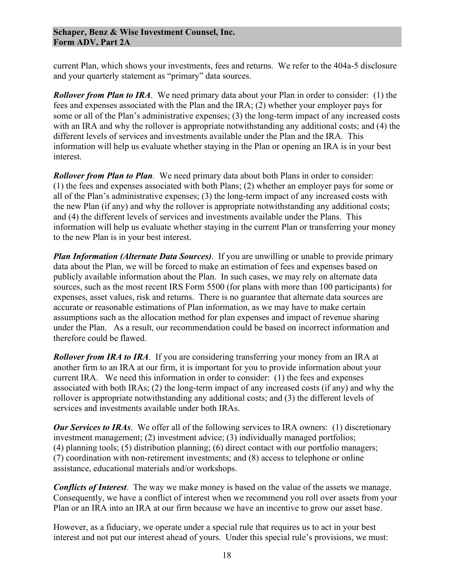current Plan, which shows your investments, fees and returns. We refer to the 404a-5 disclosure and your quarterly statement as "primary" data sources.

*Rollover from Plan to IRA*. We need primary data about your Plan in order to consider: (1) the fees and expenses associated with the Plan and the IRA; (2) whether your employer pays for some or all of the Plan's administrative expenses; (3) the long-term impact of any increased costs with an IRA and why the rollover is appropriate notwithstanding any additional costs; and (4) the different levels of services and investments available under the Plan and the IRA. This information will help us evaluate whether staying in the Plan or opening an IRA is in your best interest.

*Rollover from Plan to Plan.* We need primary data about both Plans in order to consider: (1) the fees and expenses associated with both Plans; (2) whether an employer pays for some or all of the Plan's administrative expenses; (3) the long-term impact of any increased costs with the new Plan (if any) and why the rollover is appropriate notwithstanding any additional costs; and (4) the different levels of services and investments available under the Plans. This information will help us evaluate whether staying in the current Plan or transferring your money to the new Plan is in your best interest.

*Plan Information (Alternate Data Sources)*. If you are unwilling or unable to provide primary data about the Plan, we will be forced to make an estimation of fees and expenses based on publicly available information about the Plan. In such cases, we may rely on alternate data sources, such as the most recent IRS Form 5500 (for plans with more than 100 participants) for expenses, asset values, risk and returns. There is no guarantee that alternate data sources are accurate or reasonable estimations of Plan information, as we may have to make certain assumptions such as the allocation method for plan expenses and impact of revenue sharing under the Plan. As a result, our recommendation could be based on incorrect information and therefore could be flawed.

*Rollover from IRA to IRA*. If you are considering transferring your money from an IRA at another firm to an IRA at our firm, it is important for you to provide information about your current IRA. We need this information in order to consider: (1) the fees and expenses associated with both IRAs; (2) the long-term impact of any increased costs (if any) and why the rollover is appropriate notwithstanding any additional costs; and (3) the different levels of services and investments available under both IRAs.

*Our Services to IRAs*. We offer all of the following services to IRA owners: (1) discretionary investment management; (2) investment advice; (3) individually managed portfolios; (4) planning tools; (5) distribution planning; (6) direct contact with our portfolio managers; (7) coordination with non-retirement investments; and (8) access to telephone or online assistance, educational materials and/or workshops.

*Conflicts of Interest*. The way we make money is based on the value of the assets we manage. Consequently, we have a conflict of interest when we recommend you roll over assets from your Plan or an IRA into an IRA at our firm because we have an incentive to grow our asset base.

However, as a fiduciary, we operate under a special rule that requires us to act in your best interest and not put our interest ahead of yours. Under this special rule's provisions, we must: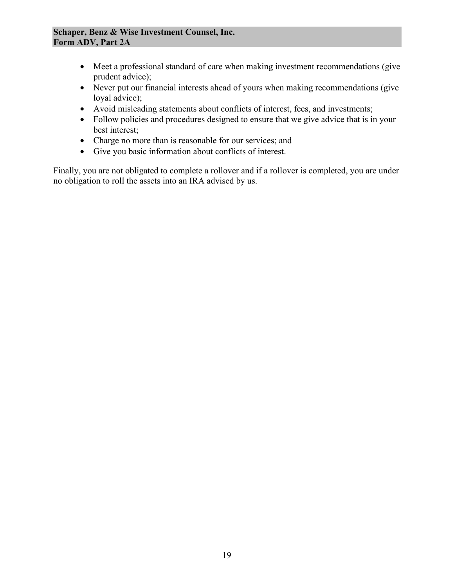#### **Schaper, Benz & Wise Investment Counsel, Inc. Form ADV, Part 2A**

- Meet a professional standard of care when making investment recommendations (give prudent advice);
- Never put our financial interests ahead of yours when making recommendations (give loyal advice);
- Avoid misleading statements about conflicts of interest, fees, and investments;
- Follow policies and procedures designed to ensure that we give advice that is in your best interest;
- Charge no more than is reasonable for our services; and
- Give you basic information about conflicts of interest.

Finally, you are not obligated to complete a rollover and if a rollover is completed, you are under no obligation to roll the assets into an IRA advised by us.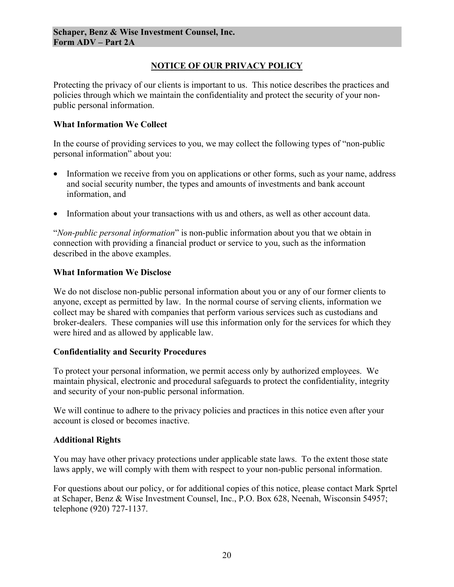# **NOTICE OF OUR PRIVACY POLICY**

Protecting the privacy of our clients is important to us. This notice describes the practices and policies through which we maintain the confidentiality and protect the security of your nonpublic personal information.

#### **What Information We Collect**

In the course of providing services to you, we may collect the following types of "non-public personal information" about you:

- Information we receive from you on applications or other forms, such as your name, address and social security number, the types and amounts of investments and bank account information, and
- Information about your transactions with us and others, as well as other account data.

"*Non-public personal information*" is non-public information about you that we obtain in connection with providing a financial product or service to you, such as the information described in the above examples.

#### **What Information We Disclose**

We do not disclose non-public personal information about you or any of our former clients to anyone, except as permitted by law. In the normal course of serving clients, information we collect may be shared with companies that perform various services such as custodians and broker-dealers. These companies will use this information only for the services for which they were hired and as allowed by applicable law.

#### **Confidentiality and Security Procedures**

To protect your personal information, we permit access only by authorized employees. We maintain physical, electronic and procedural safeguards to protect the confidentiality, integrity and security of your non-public personal information.

We will continue to adhere to the privacy policies and practices in this notice even after your account is closed or becomes inactive.

### **Additional Rights**

You may have other privacy protections under applicable state laws. To the extent those state laws apply, we will comply with them with respect to your non-public personal information.

For questions about our policy, or for additional copies of this notice, please contact Mark Sprtel at Schaper, Benz & Wise Investment Counsel, Inc., P.O. Box 628, Neenah, Wisconsin 54957; telephone (920) 727-1137.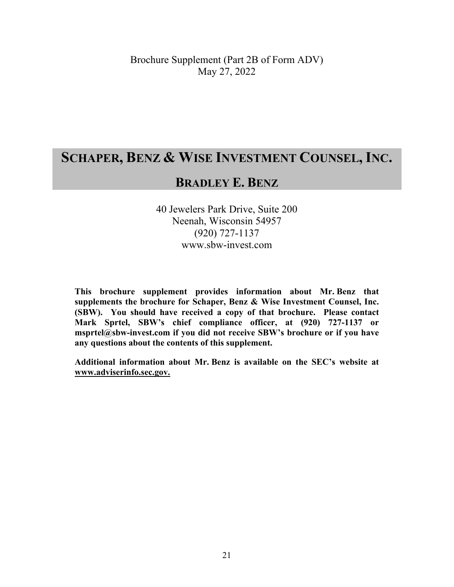# **SCHAPER, BENZ & WISE INVESTMENT COUNSEL, INC.**

# **BRADLEY E. BENZ**

40 Jewelers Park Drive, Suite 200 Neenah, Wisconsin 54957 (920) 727-1137 www.sbw-invest.com

**This brochure supplement provides information about Mr. Benz that supplements the brochure for Schaper, Benz & Wise Investment Counsel, Inc. (SBW). You should have received a copy of that brochure. Please contact Mark Sprtel, SBW's chief compliance officer, at (920) 727-1137 or msprtel@sbw-invest.com if you did not receive SBW's brochure or if you have any questions about the contents of this supplement.** 

**Additional information about Mr. Benz is available on the SEC's website at www.adviserinfo.sec.gov.**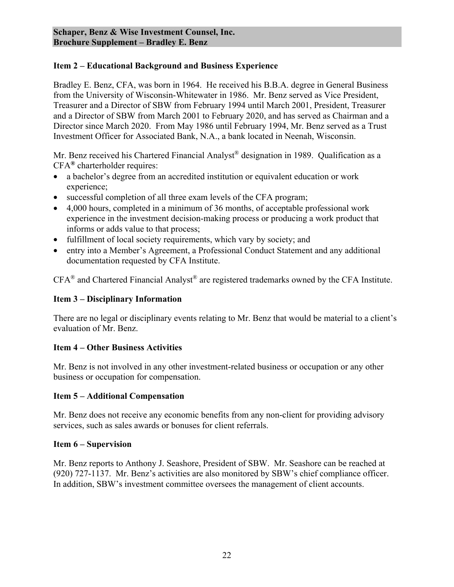Bradley E. Benz, CFA, was born in 1964. He received his B.B.A. degree in General Business from the University of Wisconsin-Whitewater in 1986. Mr. Benz served as Vice President, Treasurer and a Director of SBW from February 1994 until March 2001, President, Treasurer and a Director of SBW from March 2001 to February 2020, and has served as Chairman and a Director since March 2020. From May 1986 until February 1994, Mr. Benz served as a Trust Investment Officer for Associated Bank, N.A., a bank located in Neenah, Wisconsin.

Mr. Benz received his Chartered Financial Analyst® designation in 1989. Qualification as a CFA**®** charterholder requires:

- a bachelor's degree from an accredited institution or equivalent education or work experience;
- successful completion of all three exam levels of the CFA program;
- 4,000 hours, completed in a minimum of 36 months, of acceptable professional work experience in the investment decision-making process or producing a work product that informs or adds value to that process;
- fulfillment of local society requirements, which vary by society; and
- entry into a Member's Agreement, a Professional Conduct Statement and any additional documentation requested by CFA Institute.

CFA® and Chartered Financial Analyst® are registered trademarks owned by the CFA Institute.

### **Item 3 – Disciplinary Information**

There are no legal or disciplinary events relating to Mr. Benz that would be material to a client's evaluation of Mr. Benz.

### **Item 4 – Other Business Activities**

Mr. Benz is not involved in any other investment-related business or occupation or any other business or occupation for compensation.

### **Item 5 – Additional Compensation**

Mr. Benz does not receive any economic benefits from any non-client for providing advisory services, such as sales awards or bonuses for client referrals.

### **Item 6 – Supervision**

Mr. Benz reports to Anthony J. Seashore, President of SBW. Mr. Seashore can be reached at (920) 727-1137. Mr. Benz's activities are also monitored by SBW's chief compliance officer. In addition, SBW's investment committee oversees the management of client accounts.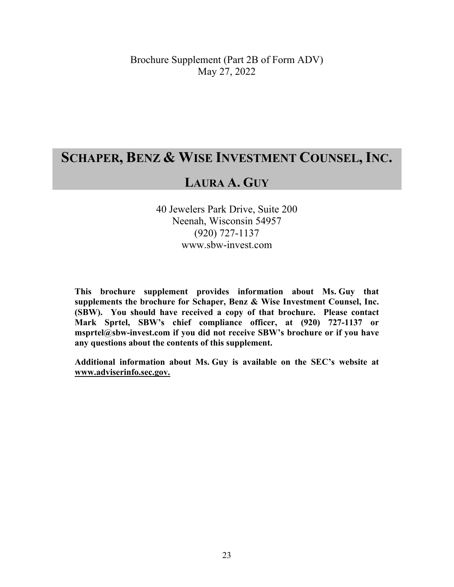# **SCHAPER, BENZ & WISE INVESTMENT COUNSEL, INC.**

# **LAURA A. GUY**

40 Jewelers Park Drive, Suite 200 Neenah, Wisconsin 54957 (920) 727-1137 www.sbw-invest.com

**This brochure supplement provides information about Ms. Guy that supplements the brochure for Schaper, Benz & Wise Investment Counsel, Inc. (SBW). You should have received a copy of that brochure. Please contact Mark Sprtel, SBW's chief compliance officer, at (920) 727-1137 or msprtel@sbw-invest.com if you did not receive SBW's brochure or if you have any questions about the contents of this supplement.** 

**Additional information about Ms. Guy is available on the SEC's website at www.adviserinfo.sec.gov.**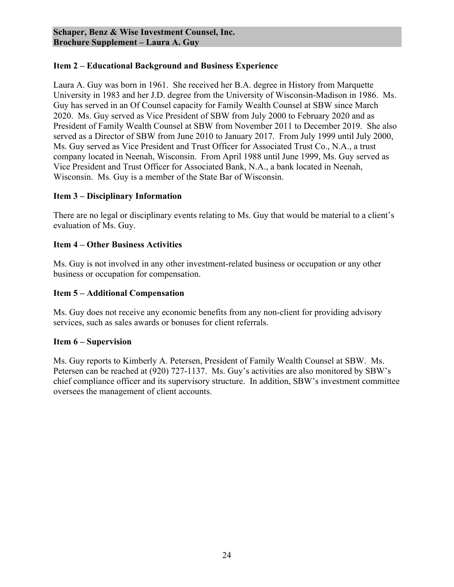Laura A. Guy was born in 1961. She received her B.A. degree in History from Marquette University in 1983 and her J.D. degree from the University of Wisconsin-Madison in 1986. Ms. Guy has served in an Of Counsel capacity for Family Wealth Counsel at SBW since March 2020. Ms. Guy served as Vice President of SBW from July 2000 to February 2020 and as President of Family Wealth Counsel at SBW from November 2011 to December 2019. She also served as a Director of SBW from June 2010 to January 2017. From July 1999 until July 2000, Ms. Guy served as Vice President and Trust Officer for Associated Trust Co., N.A., a trust company located in Neenah, Wisconsin. From April 1988 until June 1999, Ms. Guy served as Vice President and Trust Officer for Associated Bank, N.A., a bank located in Neenah, Wisconsin. Ms. Guy is a member of the State Bar of Wisconsin.

### **Item 3 – Disciplinary Information**

There are no legal or disciplinary events relating to Ms. Guy that would be material to a client's evaluation of Ms. Guy.

### **Item 4 – Other Business Activities**

Ms. Guy is not involved in any other investment-related business or occupation or any other business or occupation for compensation.

# **Item 5 – Additional Compensation**

Ms. Guy does not receive any economic benefits from any non-client for providing advisory services, such as sales awards or bonuses for client referrals.

### **Item 6 – Supervision**

Ms. Guy reports to Kimberly A. Petersen, President of Family Wealth Counsel at SBW. Ms. Petersen can be reached at (920) 727-1137. Ms. Guy's activities are also monitored by SBW's chief compliance officer and its supervisory structure. In addition, SBW's investment committee oversees the management of client accounts.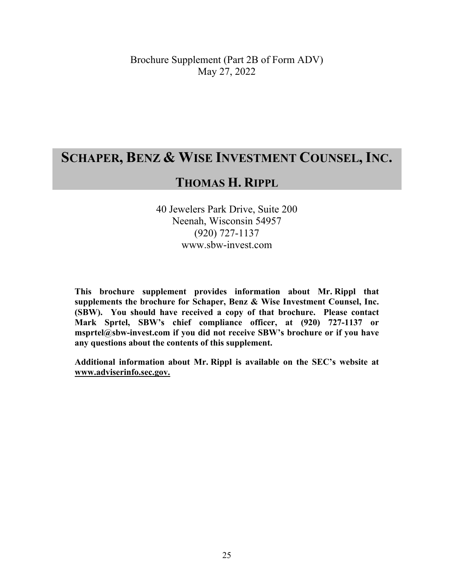# **SCHAPER, BENZ & WISE INVESTMENT COUNSEL, INC.**

# **THOMAS H. RIPPL**

40 Jewelers Park Drive, Suite 200 Neenah, Wisconsin 54957 (920) 727-1137 www.sbw-invest.com

**This brochure supplement provides information about Mr. Rippl that supplements the brochure for Schaper, Benz & Wise Investment Counsel, Inc. (SBW). You should have received a copy of that brochure. Please contact Mark Sprtel, SBW's chief compliance officer, at (920) 727-1137 or msprtel@sbw-invest.com if you did not receive SBW's brochure or if you have any questions about the contents of this supplement.** 

**Additional information about Mr. Rippl is available on the SEC's website at www.adviserinfo.sec.gov.**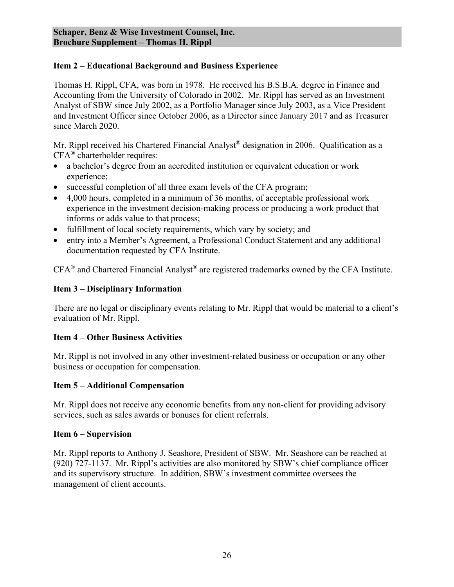Thomas H. Rippl, CFA, was born in 1978. He received his B.S.B.A. degree in Finance and Accounting from the University of Colorado in 2002. Mr. Rippl has served as an Investment Analyst of SBW since July 2002, as a Portfolio Manager since July 2003, as a Vice President and Investment Officer since October 2006, as a Director since January 2017 and as Treasurer since March 2020.

Mr. Rippl received his Chartered Financial Analyst<sup>®</sup> designation in 2006. Qualification as a CFA**®** charterholder requires:

- a bachelor's degree from an accredited institution or equivalent education or work experience;
- successful completion of all three exam levels of the CFA program;
- 4,000 hours, completed in a minimum of 36 months, of acceptable professional work experience in the investment decision-making process or producing a work product that informs or adds value to that process;
- fulfillment of local society requirements, which vary by society; and
- entry into a Member's Agreement, a Professional Conduct Statement and any additional documentation requested by CFA Institute.

CFA® and Chartered Financial Analyst® are registered trademarks owned by the CFA Institute.

# **Item 3 – Disciplinary Information**

There are no legal or disciplinary events relating to Mr. Rippl that would be material to a client's evaluation of Mr. Rippl.

### **Item 4 – Other Business Activities**

Mr. Rippl is not involved in any other investment-related business or occupation or any other business or occupation for compensation.

### **Item 5 – Additional Compensation**

Mr. Rippl does not receive any economic benefits from any non-client for providing advisory services, such as sales awards or bonuses for client referrals.

### **Item 6 – Supervision**

Mr. Rippl reports to Anthony J. Seashore, President of SBW. Mr. Seashore can be reached at (920) 727-1137. Mr. Rippl's activities are also monitored by SBW's chief compliance officer and its supervisory structure. In addition, SBW's investment committee oversees the management of client accounts.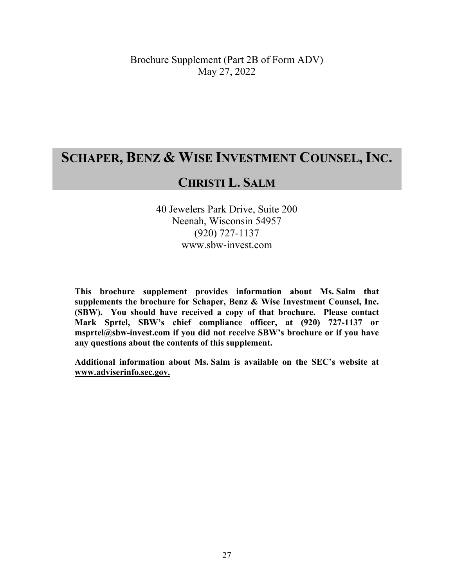# **SCHAPER, BENZ & WISE INVESTMENT COUNSEL, INC.**

# **CHRISTI L. SALM**

40 Jewelers Park Drive, Suite 200 Neenah, Wisconsin 54957 (920) 727-1137 www.sbw-invest.com

**This brochure supplement provides information about Ms. Salm that supplements the brochure for Schaper, Benz & Wise Investment Counsel, Inc. (SBW). You should have received a copy of that brochure. Please contact Mark Sprtel, SBW's chief compliance officer, at (920) 727-1137 or msprtel@sbw-invest.com if you did not receive SBW's brochure or if you have any questions about the contents of this supplement.** 

**Additional information about Ms. Salm is available on the SEC's website at www.adviserinfo.sec.gov.**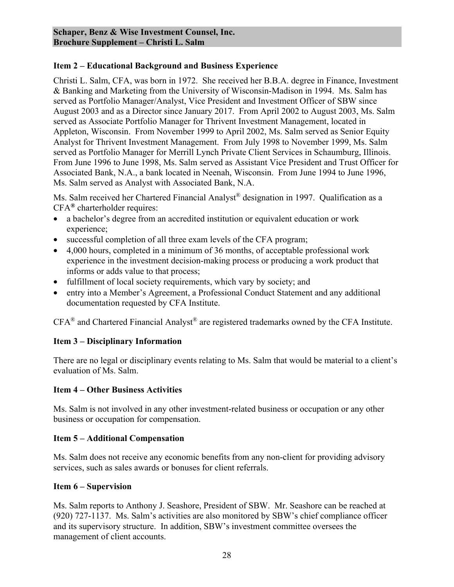Christi L. Salm, CFA, was born in 1972. She received her B.B.A. degree in Finance, Investment & Banking and Marketing from the University of Wisconsin-Madison in 1994. Ms. Salm has served as Portfolio Manager/Analyst, Vice President and Investment Officer of SBW since August 2003 and as a Director since January 2017. From April 2002 to August 2003, Ms. Salm served as Associate Portfolio Manager for Thrivent Investment Management, located in Appleton, Wisconsin. From November 1999 to April 2002, Ms. Salm served as Senior Equity Analyst for Thrivent Investment Management. From July 1998 to November 1999, Ms. Salm served as Portfolio Manager for Merrill Lynch Private Client Services in Schaumburg, Illinois. From June 1996 to June 1998, Ms. Salm served as Assistant Vice President and Trust Officer for Associated Bank, N.A., a bank located in Neenah, Wisconsin. From June 1994 to June 1996, Ms. Salm served as Analyst with Associated Bank, N.A.

Ms. Salm received her Chartered Financial Analyst® designation in 1997. Qualification as a CFA**®** charterholder requires:

- a bachelor's degree from an accredited institution or equivalent education or work experience;
- successful completion of all three exam levels of the CFA program;
- 4,000 hours, completed in a minimum of 36 months, of acceptable professional work experience in the investment decision-making process or producing a work product that informs or adds value to that process;
- fulfillment of local society requirements, which vary by society; and
- entry into a Member's Agreement, a Professional Conduct Statement and any additional documentation requested by CFA Institute.

CFA® and Chartered Financial Analyst® are registered trademarks owned by the CFA Institute.

### **Item 3 – Disciplinary Information**

There are no legal or disciplinary events relating to Ms. Salm that would be material to a client's evaluation of Ms. Salm.

### **Item 4 – Other Business Activities**

Ms. Salm is not involved in any other investment-related business or occupation or any other business or occupation for compensation.

### **Item 5 – Additional Compensation**

Ms. Salm does not receive any economic benefits from any non-client for providing advisory services, such as sales awards or bonuses for client referrals.

### **Item 6 – Supervision**

Ms. Salm reports to Anthony J. Seashore, President of SBW. Mr. Seashore can be reached at (920) 727-1137. Ms. Salm's activities are also monitored by SBW's chief compliance officer and its supervisory structure. In addition, SBW's investment committee oversees the management of client accounts.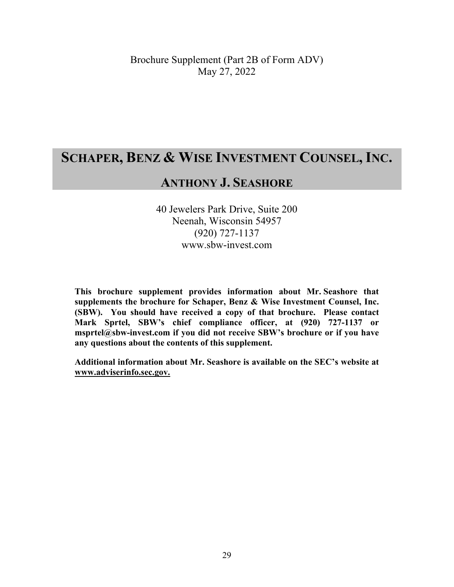# **SCHAPER, BENZ & WISE INVESTMENT COUNSEL, INC.**

# **ANTHONY J. SEASHORE**

40 Jewelers Park Drive, Suite 200 Neenah, Wisconsin 54957 (920) 727-1137 www.sbw-invest.com

**This brochure supplement provides information about Mr. Seashore that supplements the brochure for Schaper, Benz & Wise Investment Counsel, Inc. (SBW). You should have received a copy of that brochure. Please contact Mark Sprtel, SBW's chief compliance officer, at (920) 727-1137 or msprtel@sbw-invest.com if you did not receive SBW's brochure or if you have any questions about the contents of this supplement.** 

**Additional information about Mr. Seashore is available on the SEC's website at www.adviserinfo.sec.gov.**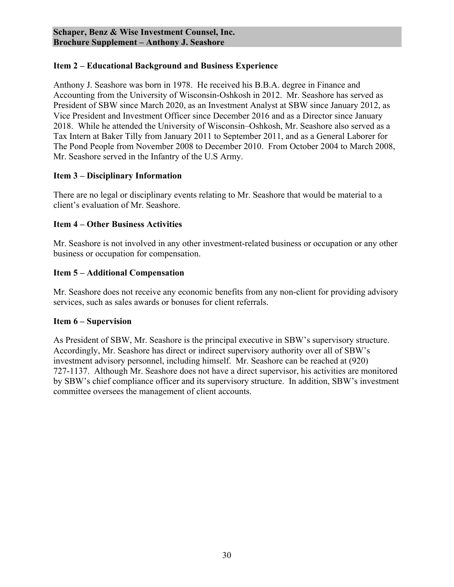Anthony J. Seashore was born in 1978. He received his B.B.A. degree in Finance and Accounting from the University of Wisconsin-Oshkosh in 2012. Mr. Seashore has served as President of SBW since March 2020, as an Investment Analyst at SBW since January 2012, as Vice President and Investment Officer since December 2016 and as a Director since January 2018. While he attended the University of Wisconsin–Oshkosh, Mr. Seashore also served as a Tax Intern at Baker Tilly from January 2011 to September 2011, and as a General Laborer for The Pond People from November 2008 to December 2010. From October 2004 to March 2008, Mr. Seashore served in the Infantry of the U.S Army.

### **Item 3 – Disciplinary Information**

There are no legal or disciplinary events relating to Mr. Seashore that would be material to a client's evaluation of Mr. Seashore.

#### **Item 4 – Other Business Activities**

Mr. Seashore is not involved in any other investment-related business or occupation or any other business or occupation for compensation.

#### **Item 5 – Additional Compensation**

Mr. Seashore does not receive any economic benefits from any non-client for providing advisory services, such as sales awards or bonuses for client referrals.

#### **Item 6 – Supervision**

As President of SBW, Mr. Seashore is the principal executive in SBW's supervisory structure. Accordingly, Mr. Seashore has direct or indirect supervisory authority over all of SBW's investment advisory personnel, including himself. Mr. Seashore can be reached at (920) 727-1137. Although Mr. Seashore does not have a direct supervisor, his activities are monitored by SBW's chief compliance officer and its supervisory structure. In addition, SBW's investment committee oversees the management of client accounts.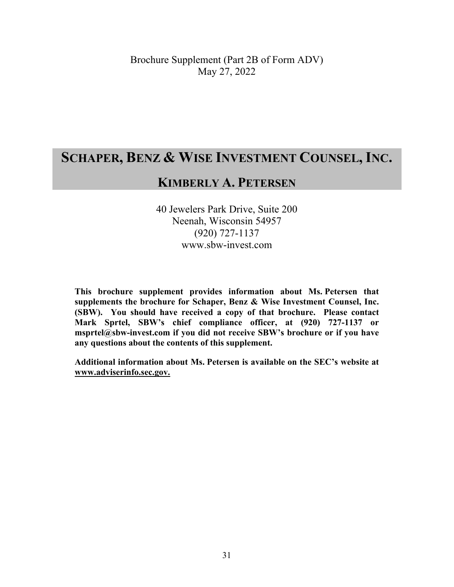# **SCHAPER, BENZ & WISE INVESTMENT COUNSEL, INC.**

# **KIMBERLY A. PETERSEN**

40 Jewelers Park Drive, Suite 200 Neenah, Wisconsin 54957 (920) 727-1137 www.sbw-invest.com

**This brochure supplement provides information about Ms. Petersen that supplements the brochure for Schaper, Benz & Wise Investment Counsel, Inc. (SBW). You should have received a copy of that brochure. Please contact Mark Sprtel, SBW's chief compliance officer, at (920) 727-1137 or msprtel@sbw-invest.com if you did not receive SBW's brochure or if you have any questions about the contents of this supplement.** 

**Additional information about Ms. Petersen is available on the SEC's website at www.adviserinfo.sec.gov.**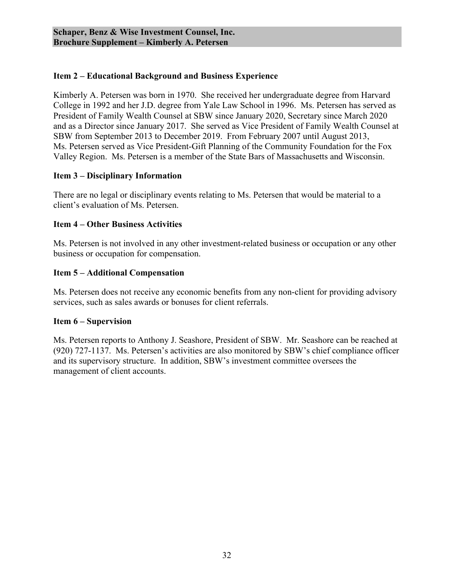Kimberly A. Petersen was born in 1970. She received her undergraduate degree from Harvard College in 1992 and her J.D. degree from Yale Law School in 1996. Ms. Petersen has served as President of Family Wealth Counsel at SBW since January 2020, Secretary since March 2020 and as a Director since January 2017. She served as Vice President of Family Wealth Counsel at SBW from September 2013 to December 2019. From February 2007 until August 2013, Ms. Petersen served as Vice President-Gift Planning of the Community Foundation for the Fox Valley Region. Ms. Petersen is a member of the State Bars of Massachusetts and Wisconsin.

#### **Item 3 – Disciplinary Information**

There are no legal or disciplinary events relating to Ms. Petersen that would be material to a client's evaluation of Ms. Petersen.

#### **Item 4 – Other Business Activities**

Ms. Petersen is not involved in any other investment-related business or occupation or any other business or occupation for compensation.

#### **Item 5 – Additional Compensation**

Ms. Petersen does not receive any economic benefits from any non-client for providing advisory services, such as sales awards or bonuses for client referrals.

#### **Item 6 – Supervision**

Ms. Petersen reports to Anthony J. Seashore, President of SBW. Mr. Seashore can be reached at (920) 727-1137. Ms. Petersen's activities are also monitored by SBW's chief compliance officer and its supervisory structure. In addition, SBW's investment committee oversees the management of client accounts.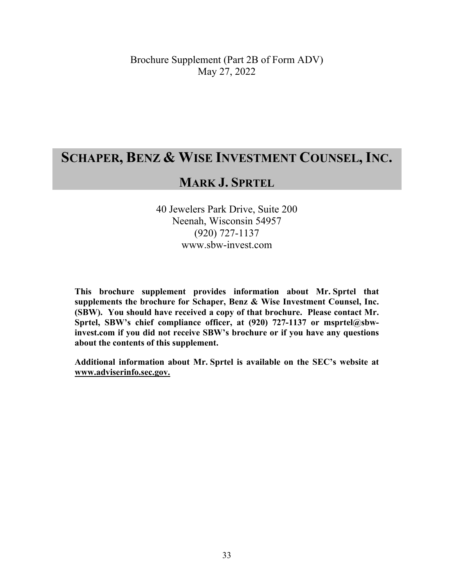# **SCHAPER, BENZ & WISE INVESTMENT COUNSEL, INC.**

# **MARK J. SPRTEL**

40 Jewelers Park Drive, Suite 200 Neenah, Wisconsin 54957 (920) 727-1137 www.sbw-invest.com

**This brochure supplement provides information about Mr. Sprtel that supplements the brochure for Schaper, Benz & Wise Investment Counsel, Inc. (SBW). You should have received a copy of that brochure. Please contact Mr.**  Sprtel, SBW's chief compliance officer, at (920) 727-1137 or msprtel@sbw**invest.com if you did not receive SBW's brochure or if you have any questions about the contents of this supplement.** 

**Additional information about Mr. Sprtel is available on the SEC's website at www.adviserinfo.sec.gov.**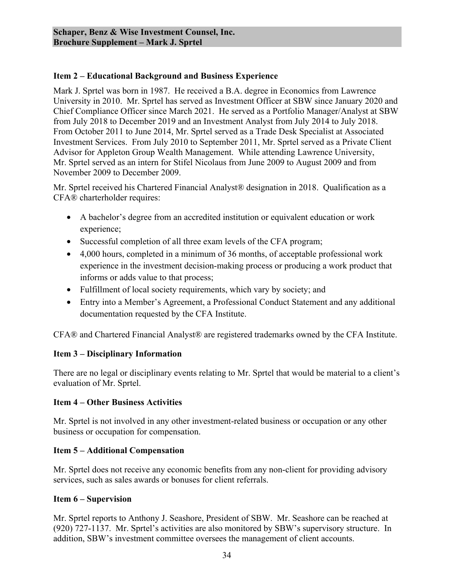Mark J. Sprtel was born in 1987. He received a B.A. degree in Economics from Lawrence University in 2010. Mr. Sprtel has served as Investment Officer at SBW since January 2020 and Chief Compliance Officer since March 2021. He served as a Portfolio Manager/Analyst at SBW from July 2018 to December 2019 and an Investment Analyst from July 2014 to July 2018. From October 2011 to June 2014, Mr. Sprtel served as a Trade Desk Specialist at Associated Investment Services. From July 2010 to September 2011, Mr. Sprtel served as a Private Client Advisor for Appleton Group Wealth Management. While attending Lawrence University, Mr. Sprtel served as an intern for Stifel Nicolaus from June 2009 to August 2009 and from November 2009 to December 2009.

Mr. Sprtel received his Chartered Financial Analyst® designation in 2018. Qualification as a CFA® charterholder requires:

- A bachelor's degree from an accredited institution or equivalent education or work experience;
- Successful completion of all three exam levels of the CFA program;
- 4,000 hours, completed in a minimum of 36 months, of acceptable professional work experience in the investment decision-making process or producing a work product that informs or adds value to that process;
- Fulfillment of local society requirements, which vary by society; and
- Entry into a Member's Agreement, a Professional Conduct Statement and any additional documentation requested by the CFA Institute.

CFA® and Chartered Financial Analyst® are registered trademarks owned by the CFA Institute.

# **Item 3 – Disciplinary Information**

There are no legal or disciplinary events relating to Mr. Sprtel that would be material to a client's evaluation of Mr. Sprtel.

#### **Item 4 – Other Business Activities**

Mr. Sprtel is not involved in any other investment-related business or occupation or any other business or occupation for compensation.

#### **Item 5 – Additional Compensation**

Mr. Sprtel does not receive any economic benefits from any non-client for providing advisory services, such as sales awards or bonuses for client referrals.

### **Item 6 – Supervision**

Mr. Sprtel reports to Anthony J. Seashore, President of SBW. Mr. Seashore can be reached at (920) 727-1137. Mr. Sprtel's activities are also monitored by SBW's supervisory structure. In addition, SBW's investment committee oversees the management of client accounts.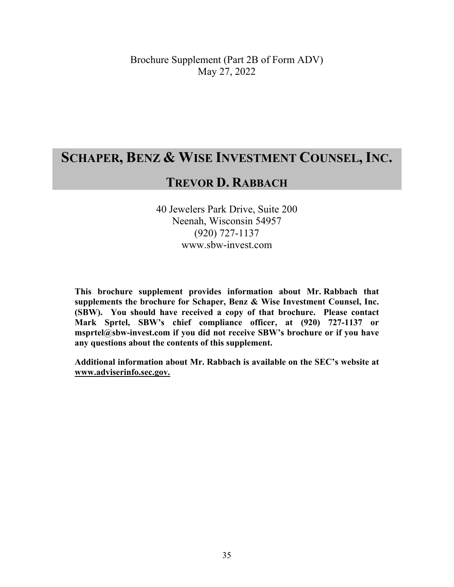# **SCHAPER, BENZ & WISE INVESTMENT COUNSEL, INC.**

# **TREVOR D. RABBACH**

40 Jewelers Park Drive, Suite 200 Neenah, Wisconsin 54957 (920) 727-1137 www.sbw-invest.com

**This brochure supplement provides information about Mr. Rabbach that supplements the brochure for Schaper, Benz & Wise Investment Counsel, Inc. (SBW). You should have received a copy of that brochure. Please contact Mark Sprtel, SBW's chief compliance officer, at (920) 727-1137 or msprtel@sbw-invest.com if you did not receive SBW's brochure or if you have any questions about the contents of this supplement.** 

**Additional information about Mr. Rabbach is available on the SEC's website at www.adviserinfo.sec.gov.**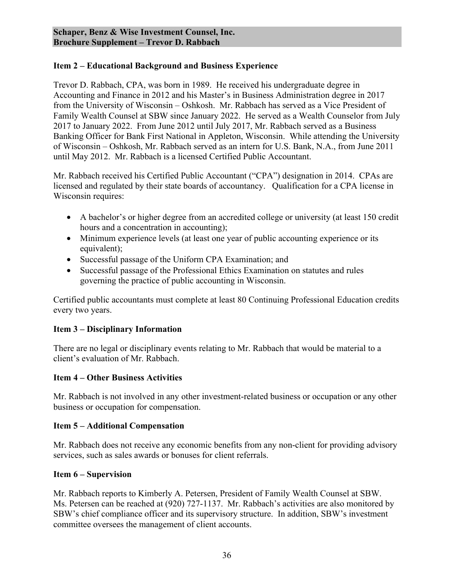Trevor D. Rabbach, CPA, was born in 1989. He received his undergraduate degree in Accounting and Finance in 2012 and his Master's in Business Administration degree in 2017 from the University of Wisconsin – Oshkosh. Mr. Rabbach has served as a Vice President of Family Wealth Counsel at SBW since January 2022. He served as a Wealth Counselor from July 2017 to January 2022. From June 2012 until July 2017, Mr. Rabbach served as a Business Banking Officer for Bank First National in Appleton, Wisconsin. While attending the University of Wisconsin – Oshkosh, Mr. Rabbach served as an intern for U.S. Bank, N.A., from June 2011 until May 2012. Mr. Rabbach is a licensed Certified Public Accountant.

Mr. Rabbach received his Certified Public Accountant ("CPA") designation in 2014. CPAs are licensed and regulated by their state boards of accountancy. Qualification for a CPA license in Wisconsin requires:

- A bachelor's or higher degree from an accredited college or university (at least 150 credit hours and a concentration in accounting);
- Minimum experience levels (at least one year of public accounting experience or its equivalent);
- Successful passage of the Uniform CPA Examination; and
- Successful passage of the Professional Ethics Examination on statutes and rules governing the practice of public accounting in Wisconsin.

Certified public accountants must complete at least 80 Continuing Professional Education credits every two years.

### **Item 3 – Disciplinary Information**

There are no legal or disciplinary events relating to Mr. Rabbach that would be material to a client's evaluation of Mr. Rabbach.

### **Item 4 – Other Business Activities**

Mr. Rabbach is not involved in any other investment-related business or occupation or any other business or occupation for compensation.

### **Item 5 – Additional Compensation**

Mr. Rabbach does not receive any economic benefits from any non-client for providing advisory services, such as sales awards or bonuses for client referrals.

### **Item 6 – Supervision**

Mr. Rabbach reports to Kimberly A. Petersen, President of Family Wealth Counsel at SBW. Ms. Petersen can be reached at (920) 727-1137. Mr. Rabbach's activities are also monitored by SBW's chief compliance officer and its supervisory structure. In addition, SBW's investment committee oversees the management of client accounts.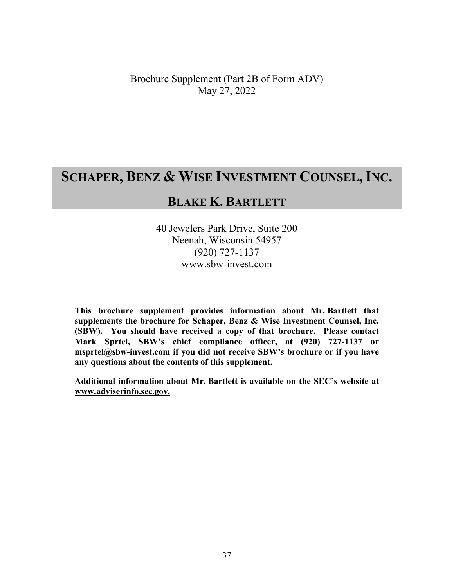# **SCHAPER, BENZ & WISE INVESTMENT COUNSEL, INC.**

# **BLAKE K. BARTLETT**

40 Jewelers Park Drive, Suite 200 Neenah, Wisconsin 54957 (920) 727-1137 www.sbw-invest.com

**This brochure supplement provides information about Mr. Bartlett that supplements the brochure for Schaper, Benz & Wise Investment Counsel, Inc. (SBW). You should have received a copy of that brochure. Please contact Mark Sprtel, SBW's chief compliance officer, at (920) 727-1137 or msprtel@sbw-invest.com if you did not receive SBW's brochure or if you have any questions about the contents of this supplement.** 

**Additional information about Mr. Bartlett is available on the SEC's website at www.adviserinfo.sec.gov.**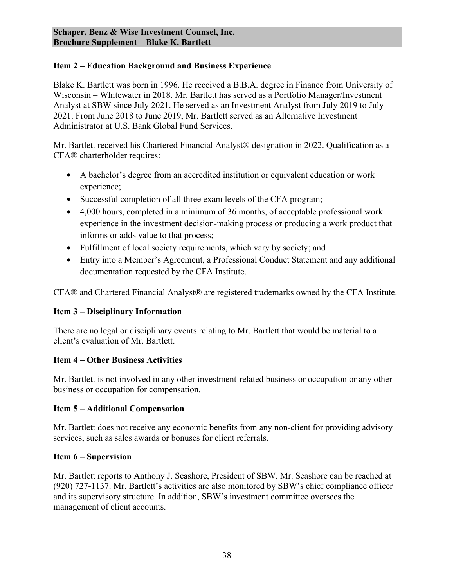Blake K. Bartlett was born in 1996. He received a B.B.A. degree in Finance from University of Wisconsin – Whitewater in 2018. Mr. Bartlett has served as a Portfolio Manager/Investment Analyst at SBW since July 2021. He served as an Investment Analyst from July 2019 to July 2021. From June 2018 to June 2019, Mr. Bartlett served as an Alternative Investment Administrator at U.S. Bank Global Fund Services.

Mr. Bartlett received his Chartered Financial Analyst® designation in 2022. Qualification as a CFA® charterholder requires:

- A bachelor's degree from an accredited institution or equivalent education or work experience;
- Successful completion of all three exam levels of the CFA program;
- 4,000 hours, completed in a minimum of 36 months, of acceptable professional work experience in the investment decision-making process or producing a work product that informs or adds value to that process;
- Fulfillment of local society requirements, which vary by society; and
- Entry into a Member's Agreement, a Professional Conduct Statement and any additional documentation requested by the CFA Institute.

CFA® and Chartered Financial Analyst® are registered trademarks owned by the CFA Institute.

### **Item 3 – Disciplinary Information**

There are no legal or disciplinary events relating to Mr. Bartlett that would be material to a client's evaluation of Mr. Bartlett.

# **Item 4 – Other Business Activities**

Mr. Bartlett is not involved in any other investment-related business or occupation or any other business or occupation for compensation.

### **Item 5 – Additional Compensation**

Mr. Bartlett does not receive any economic benefits from any non-client for providing advisory services, such as sales awards or bonuses for client referrals.

### **Item 6 – Supervision**

Mr. Bartlett reports to Anthony J. Seashore, President of SBW. Mr. Seashore can be reached at (920) 727-1137. Mr. Bartlett's activities are also monitored by SBW's chief compliance officer and its supervisory structure. In addition, SBW's investment committee oversees the management of client accounts.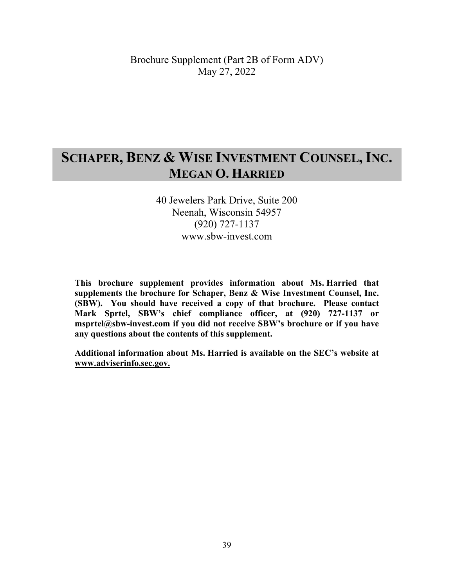# **SCHAPER, BENZ & WISE INVESTMENT COUNSEL, INC. MEGAN O. HARRIED**

# 40 Jewelers Park Drive, Suite 200 Neenah, Wisconsin 54957 (920) 727-1137 www.sbw-invest.com

**This brochure supplement provides information about Ms. Harried that supplements the brochure for Schaper, Benz & Wise Investment Counsel, Inc. (SBW). You should have received a copy of that brochure. Please contact Mark Sprtel, SBW's chief compliance officer, at (920) 727-1137 or msprtel@sbw-invest.com if you did not receive SBW's brochure or if you have any questions about the contents of this supplement.** 

**Additional information about Ms. Harried is available on the SEC's website at www.adviserinfo.sec.gov.**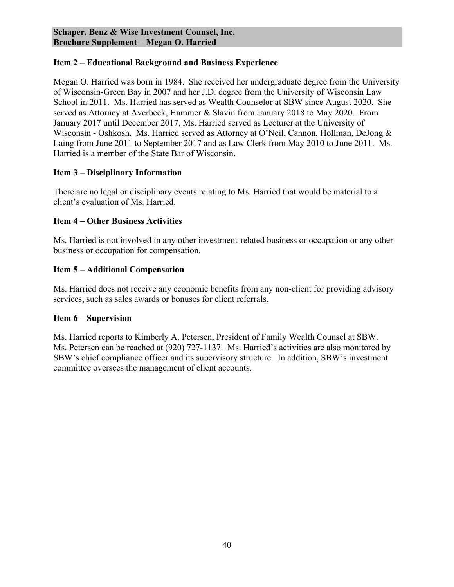Megan O. Harried was born in 1984. She received her undergraduate degree from the University of Wisconsin-Green Bay in 2007 and her J.D. degree from the University of Wisconsin Law School in 2011. Ms. Harried has served as Wealth Counselor at SBW since August 2020. She served as Attorney at Averbeck, Hammer & Slavin from January 2018 to May 2020. From January 2017 until December 2017, Ms. Harried served as Lecturer at the University of Wisconsin - Oshkosh. Ms. Harried served as Attorney at O'Neil, Cannon, Hollman, DeJong & Laing from June 2011 to September 2017 and as Law Clerk from May 2010 to June 2011. Ms. Harried is a member of the State Bar of Wisconsin.

### **Item 3 – Disciplinary Information**

There are no legal or disciplinary events relating to Ms. Harried that would be material to a client's evaluation of Ms. Harried.

# **Item 4 – Other Business Activities**

Ms. Harried is not involved in any other investment-related business or occupation or any other business or occupation for compensation.

# **Item 5 – Additional Compensation**

Ms. Harried does not receive any economic benefits from any non-client for providing advisory services, such as sales awards or bonuses for client referrals.

### **Item 6 – Supervision**

Ms. Harried reports to Kimberly A. Petersen, President of Family Wealth Counsel at SBW. Ms. Petersen can be reached at (920) 727-1137. Ms. Harried's activities are also monitored by SBW's chief compliance officer and its supervisory structure. In addition, SBW's investment committee oversees the management of client accounts.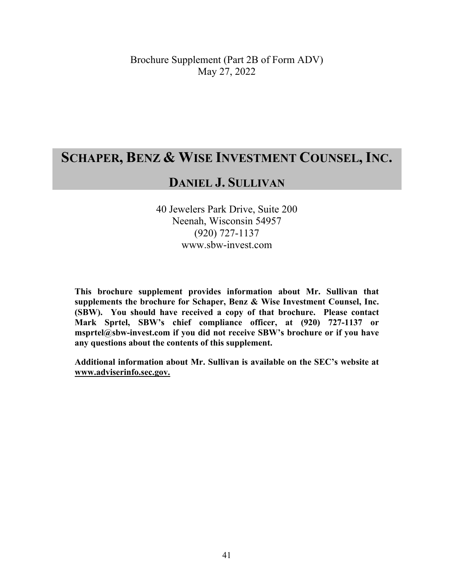# **SCHAPER, BENZ & WISE INVESTMENT COUNSEL, INC.**

# **DANIEL J. SULLIVAN**

40 Jewelers Park Drive, Suite 200 Neenah, Wisconsin 54957 (920) 727-1137 www.sbw-invest.com

**This brochure supplement provides information about Mr. Sullivan that supplements the brochure for Schaper, Benz & Wise Investment Counsel, Inc. (SBW). You should have received a copy of that brochure. Please contact Mark Sprtel, SBW's chief compliance officer, at (920) 727-1137 or msprtel@sbw-invest.com if you did not receive SBW's brochure or if you have any questions about the contents of this supplement.** 

**Additional information about Mr. Sullivan is available on the SEC's website at www.adviserinfo.sec.gov.**